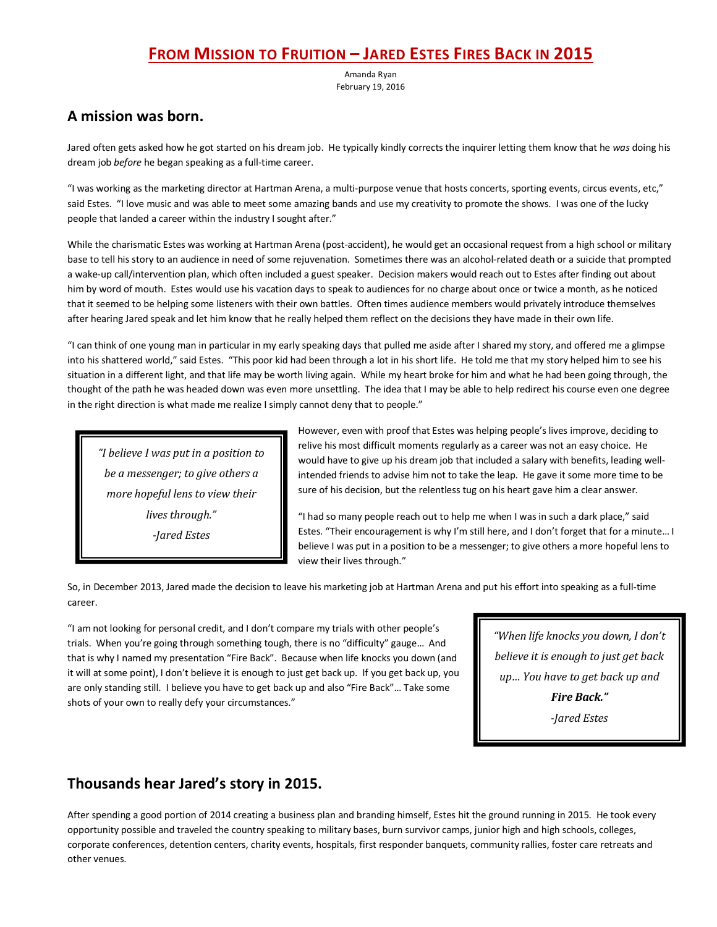# **FROM MISSION TO FRUITION – JARED ESTES FIRES BACK IN 2015**

Amanda Ryan February 19, 2016

## **A mission was born.**

Jared often gets asked how he got started on his dream job. He typically kindly corrects the inquirer letting them know that he *was* doing his dream job *before* he began speaking as a full-time career.

"I was working as the marketing director at Hartman Arena, a multi-purpose venue that hosts concerts, sporting events, circus events, etc," said Estes. "I love music and was able to meet some amazing bands and use my creativity to promote the shows. I was one of the lucky people that landed a career within the industry I sought after."

While the charismatic Estes was working at Hartman Arena (post-accident), he would get an occasional request from a high school or military base to tell his story to an audience in need of some rejuvenation. Sometimes there was an alcohol-related death or a suicide that prompted a wake-up call/intervention plan, which often included a guest speaker. Decision makers would reach out to Estes after finding out about him by word of mouth. Estes would use his vacation days to speak to audiences for no charge about once or twice a month, as he noticed that it seemed to be helping some listeners with their own battles. Often times audience members would privately introduce themselves after hearing Jared speak and let him know that he really helped them reflect on the decisions they have made in their own life.

"I can think of one young man in particular in my early speaking days that pulled me aside after I shared my story, and offered me a glimpse into his shattered world," said Estes. "This poor kid had been through a lot in his short life. He told me that my story helped him to see his situation in a different light, and that life may be worth living again. While my heart broke for him and what he had been going through, the thought of the path he was headed down was even more unsettling. The idea that I may be able to help redirect his course even one degree in the right direction is what made me realize I simply cannot deny that to people."

*"I believe I was put in a position to be a messenger; to give others a more hopeful lens to view their lives through." -Jared Estes*

However, even with proof that Estes was helping people's lives improve, deciding to relive his most difficult moments regularly as a career was not an easy choice. He would have to give up his dream job that included a salary with benefits, leading wellintended friends to advise him not to take the leap. He gave it some more time to be sure of his decision, but the relentless tug on his heart gave him a clear answer.

"I had so many people reach out to help me when I was in such a dark place," said Estes. "Their encouragement is why I'm still here, and I don't forget that for a minute… I believe I was put in a position to be a messenger; to give others a more hopeful lens to view their lives through."

So, in December 2013, Jared made the decision to leave his marketing job at Hartman Arena and put his effort into speaking as a full-time career.

"I am not looking for personal credit, and I don't compare my trials with other people's trials. When you're going through something tough, there is no "difficulty" gauge… And that is why I named my presentation "Fire Back". Because when life knocks you down (and it will at some point), I don't believe it is enough to just get back up. If you get back up, you are only standing still. I believe you have to get back up and also "Fire Back"… Take some shots of your own to really defy your circumstances."

*"When life knocks you down, I don't believe it is enough to just get back up… You have to get back up and Fire Back."*

*-Jared Estes*

## **Thousands hear Jared's story in 2015.**

After spending a good portion of 2014 creating a business plan and branding himself, Estes hit the ground running in 2015. He took every opportunity possible and traveled the country speaking to military bases, burn survivor camps, junior high and high schools, colleges, corporate conferences, detention centers, charity events, hospitals, first responder banquets, community rallies, foster care retreats and other venues.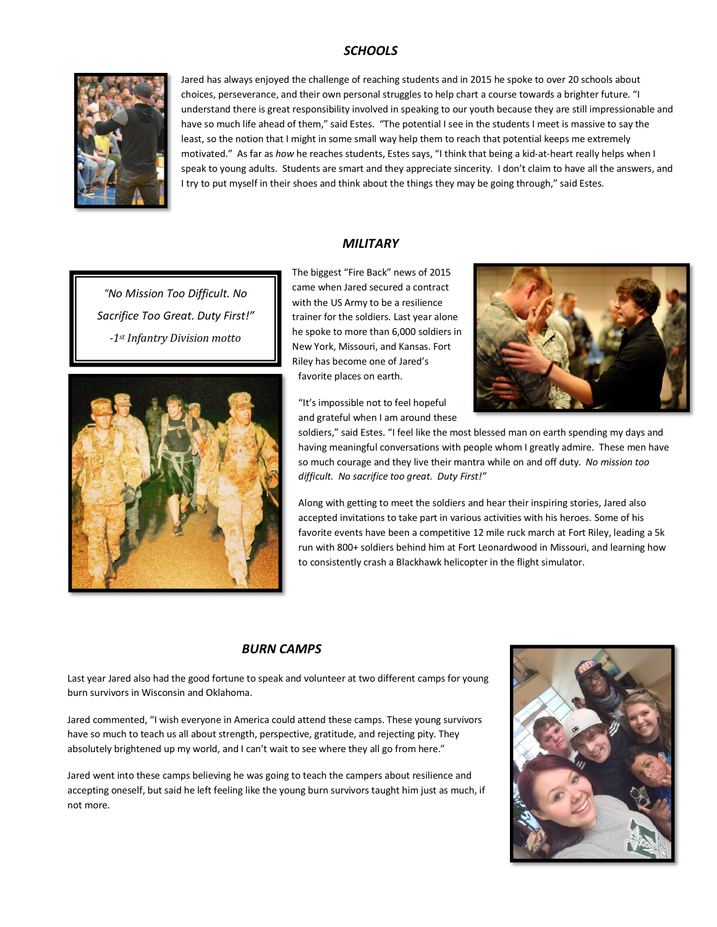### *SCHOOLS*



Jared has always enjoyed the challenge of reaching students and in 2015 he spoke to over 20 schools about choices, perseverance, and their own personal struggles to help chart a course towards a brighter future. "I understand there is great responsibility involved in speaking to our youth because they are still impressionable and have so much life ahead of them," said Estes. "The potential I see in the students I meet is massive to say the least, so the notion that I might in some small way help them to reach that potential keeps me extremely motivated." As far as *how* he reaches students, Estes says, "I think that being a kid-at-heart really helps when I speak to young adults. Students are smart and they appreciate sincerity. I don't claim to have all the answers, and I try to put myself in their shoes and think about the things they may be going through," said Estes.

#### *MILITARY*

*"No Mission Too Difficult. No Sacrifice Too Great. Duty First!" -1st Infantry Division motto*



The biggest "Fire Back" news of 2015 came when Jared secured a contract with the US Army to be a resilience trainer for the soldiers. Last year alone he spoke to more than 6,000 soldiers in New York, Missouri, and Kansas. Fort Riley has become one of Jared's favorite places on earth.



"It's impossible not to feel hopeful and grateful when I am around these

soldiers," said Estes. "I feel like the most blessed man on earth spending my days and having meaningful conversations with people whom I greatly admire. These men have so much courage and they live their mantra while on and off duty. *No mission too difficult. No sacrifice too great. Duty First!"*

Along with getting to meet the soldiers and hear their inspiring stories, Jared also accepted invitations to take part in various activities with his heroes. Some of his favorite events have been a competitive 12 mile ruck march at Fort Riley, leading a 5k run with 800+ soldiers behind him at Fort Leonardwood in Missouri, and learning how to consistently crash a Blackhawk helicopter in the flight simulator.

#### *BURN CAMPS*

Last year Jared also had the good fortune to speak and volunteer at two different camps for young burn survivors in Wisconsin and Oklahoma.

Jared commented, "I wish everyone in America could attend these camps. These young survivors have so much to teach us all about strength, perspective, gratitude, and rejecting pity. They absolutely brightened up my world, and I can't wait to see where they all go from here."

Jared went into these camps believing he was going to teach the campers about resilience and accepting oneself, but said he left feeling like the young burn survivors taught him just as much, if not more.